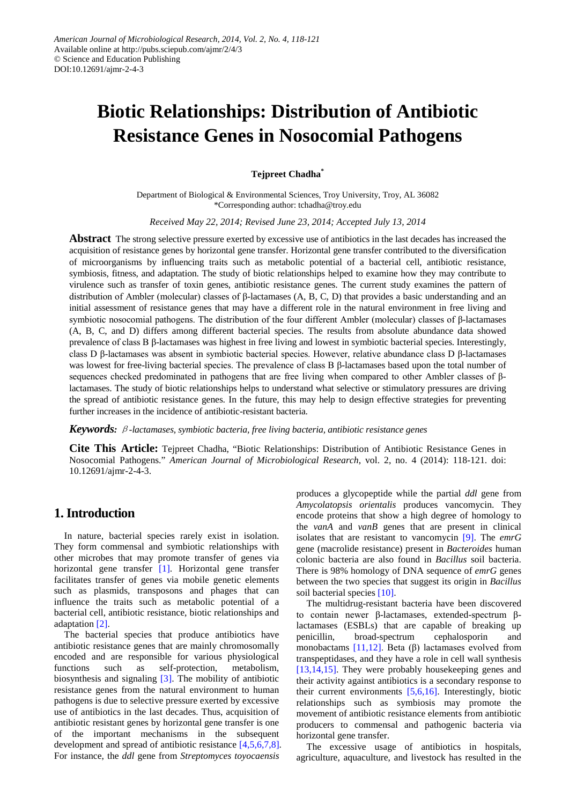# **Biotic Relationships: Distribution of Antibiotic Resistance Genes in Nosocomial Pathogens**

### **Tejpreet Chadha\***

Department of Biological & Environmental Sciences, Troy University, Troy, AL 36082 \*Corresponding author: tchadha@troy.edu

*Received May 22, 2014; Revised June 23, 2014; Accepted July 13, 2014*

**Abstract** The strong selective pressure exerted by excessive use of antibiotics in the last decades has increased the acquisition of resistance genes by horizontal gene transfer. Horizontal gene transfer contributed to the diversification of microorganisms by influencing traits such as metabolic potential of a bacterial cell, antibiotic resistance, symbiosis, fitness, and adaptation. The study of biotic relationships helped to examine how they may contribute to virulence such as transfer of toxin genes, antibiotic resistance genes. The current study examines the pattern of distribution of Ambler (molecular) classes of β-lactamases (A, B, C, D) that provides a basic understanding and an initial assessment of resistance genes that may have a different role in the natural environment in free living and symbiotic nosocomial pathogens. The distribution of the four different Ambler (molecular) classes of β-lactamases (A, B, C, and D) differs among different bacterial species. The results from absolute abundance data showed prevalence of class B β-lactamases was highest in free living and lowest in symbiotic bacterial species. Interestingly, class D β-lactamases was absent in symbiotic bacterial species. However, relative abundance class D β-lactamases was lowest for free-living bacterial species. The prevalence of class B β-lactamases based upon the total number of sequences checked predominated in pathogens that are free living when compared to other Ambler classes of βlactamases. The study of biotic relationships helps to understand what selective or stimulatory pressures are driving the spread of antibiotic resistance genes. In the future, this may help to design effective strategies for preventing further increases in the incidence of antibiotic-resistant bacteria.

*Keywords:* β*-lactamases, symbiotic bacteria, free living bacteria, antibiotic resistance genes*

**Cite This Article:** Tejpreet Chadha, "Biotic Relationships: Distribution of Antibiotic Resistance Genes in Nosocomial Pathogens." *American Journal of Microbiological Research*, vol. 2, no. 4 (2014): 118-121. doi: 10.12691/ajmr-2-4-3.

# **1. Introduction**

In nature, bacterial species rarely exist in isolation. They form commensal and symbiotic relationships with other microbes that may promote transfer of genes via horizontal gene transfer [\[1\].](#page-3-0) Horizontal gene transfer facilitates transfer of genes via mobile genetic elements such as plasmids, transposons and phages that can influence the traits such as metabolic potential of a bacterial cell, antibiotic resistance, biotic relationships and adaptation [\[2\].](#page-3-1)

The bacterial species that produce antibiotics have antibiotic resistance genes that are mainly chromosomally encoded and are responsible for various physiological functions such as self-protection, metabolism, biosynthesis and signaling [\[3\].](#page-3-2) The mobility of antibiotic resistance genes from the natural environment to human pathogens is due to selective pressure exerted by excessive use of antibiotics in the last decades. Thus, acquisition of antibiotic resistant genes by horizontal gene transfer is one of the important mechanisms in the subsequent development and spread of antibiotic resistance [\[4,5,6,7,8\].](#page-3-3) For instance, the *ddl* gene from *Streptomyces toyocaensis* 

produces a glycopeptide while the partial *ddl* gene from *Amycolatopsis orientalis* produces vancomycin. They encode proteins that show a high degree of homology to the *vanA* and *vanB* genes that are present in clinical isolates that are resistant to vancomycin [\[9\].](#page-3-4) The *emrG* gene (macrolide resistance) present in *Bacteroides* human colonic bacteria are also found in *Bacillus* soil bacteria. There is 98% homology of DNA sequence of *emrG* genes between the two species that suggest its origin in *Bacillus* soil bacterial species [\[10\].](#page-3-5)

The multidrug-resistant bacteria have been discovered to contain newer β-lactamases, extended-spectrum βlactamases (ESBLs) that are capable of breaking up penicillin, broad-spectrum cephalosporin and monobactams [\[11,12\]](#page-3-6). Beta (β) lactamases evolved from transpeptidases, and they have a role in cell wall synthesis [\[13,14,15\].](#page-3-7) They were probably housekeeping genes and their activity against antibiotics is a secondary response to their current environments [\[5,6,16\].](#page-3-8) Interestingly, biotic relationships such as symbiosis may promote the movement of antibiotic resistance elements from antibiotic producers to commensal and pathogenic bacteria via horizontal gene transfer.

The excessive usage of antibiotics in hospitals, agriculture, aquaculture, and livestock has resulted in the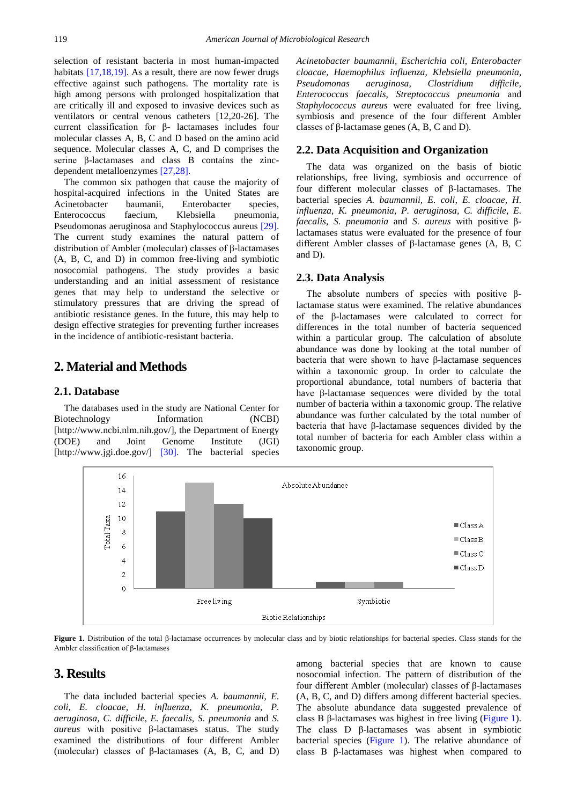selection of resistant bacteria in most human-impacted habitats [\[17,18,19\].](#page-3-9) As a result, there are now fewer drugs effective against such pathogens. The mortality rate is high among persons with prolonged hospitalization that are critically ill and exposed to invasive devices such as ventilators or central venous catheters [12,20-26]. The current classification for β- lactamases includes four molecular classes A, B, C and D based on the amino acid sequence. Molecular classes A, C, and D comprises the serine β-lactamases and class B contains the zincdependent metalloenzymes [\[27,28\].](#page-3-10)

The common six pathogen that cause the majority of hospital-acquired infections in the United States are Acinetobacter baumanii, Enterobacter species,<br>Enterococcus faecium, Klebsiella pneumonia, Enterococcus faecium, Klebsiella pneumonia, Pseudomonas aeruginosa and Staphylococcus aureus [\[29\].](#page-3-11) The current study examines the natural pattern of distribution of Ambler (molecular) classes of β-lactamases (A, B, C, and D) in common free-living and symbiotic nosocomial pathogens. The study provides a basic understanding and an initial assessment of resistance genes that may help to understand the selective or stimulatory pressures that are driving the spread of antibiotic resistance genes. In the future, this may help to design effective strategies for preventing further increases in the incidence of antibiotic-resistant bacteria.

# **2. Material and Methods**

#### **2.1. Database**

The databases used in the study are National Center for Biotechnology Information (NCBI) [http://www.ncbi.nlm.nih.gov/], the Department of Energy (DOE) and Joint Genome Institute (JGI) [http://www.jgi.doe.gov/] [\[30\].](#page-3-12) The bacterial species *Acinetobacter baumannii, Escherichia coli, Enterobacter cloacae, Haemophilus influenza, Klebsiella pneumonia, Pseudomonas aeruginosa, Clostridium difficile, Enterococcus faecalis, Streptococcus pneumonia* and *Staphylococcus aureus* were evaluated for free living, symbiosis and presence of the four different Ambler classes of β-lactamase genes (A, B, C and D).

#### **2.2. Data Acquisition and Organization**

The data was organized on the basis of biotic relationships, free living, symbiosis and occurrence of four different molecular classes of β-lactamases. The bacterial species *A. baumannii, E. coli, E. cloacae, H. influenza, K. pneumonia, P. aeruginosa, C. difficile, E. faecalis, S. pneumonia* and *S. aureus* with positive βlactamases status were evaluated for the presence of four different Ambler classes of β-lactamase genes (A, B, C and D).

#### **2.3. Data Analysis**

The absolute numbers of species with positive βlactamase status were examined. The relative abundances of the β-lactamases were calculated to correct for differences in the total number of bacteria sequenced within a particular group. The calculation of absolute abundance was done by looking at the total number of bacteria that were shown to have β-lactamase sequences within a taxonomic group. In order to calculate the proportional abundance, total numbers of bacteria that have β-lactamase sequences were divided by the total number of bacteria within a taxonomic group. The relative abundance was further calculated by the total number of bacteria that have β-lactamase sequences divided by the total number of bacteria for each Ambler class within a taxonomic group.

<span id="page-1-0"></span>

**Figure 1.** Distribution of the total β-lactamase occurrences by molecular class and by biotic relationships for bacterial species. Class stands for the Ambler classification of β-lactamases

# **3. Results**

The data included bacterial species *A. baumannii, E. coli, E. cloacae, H. influenza, K. pneumonia, P. aeruginosa, C. difficile, E. faecalis, S. pneumonia* and *S. aureus* with positive β-lactamases status. The study examined the distributions of four different Ambler (molecular) classes of β-lactamases (A, B, C, and D) among bacterial species that are known to cause nosocomial infection. The pattern of distribution of the four different Ambler (molecular) classes of β-lactamases (A, B, C, and D) differs among different bacterial species. The absolute abundance data suggested prevalence of class B β-lactamases was highest in free living [\(Figure 1\)](#page-1-0). The class D β-lactamases was absent in symbiotic bacterial species [\(Figure 1\)](#page-1-0). The relative abundance of class B β-lactamases was highest when compared to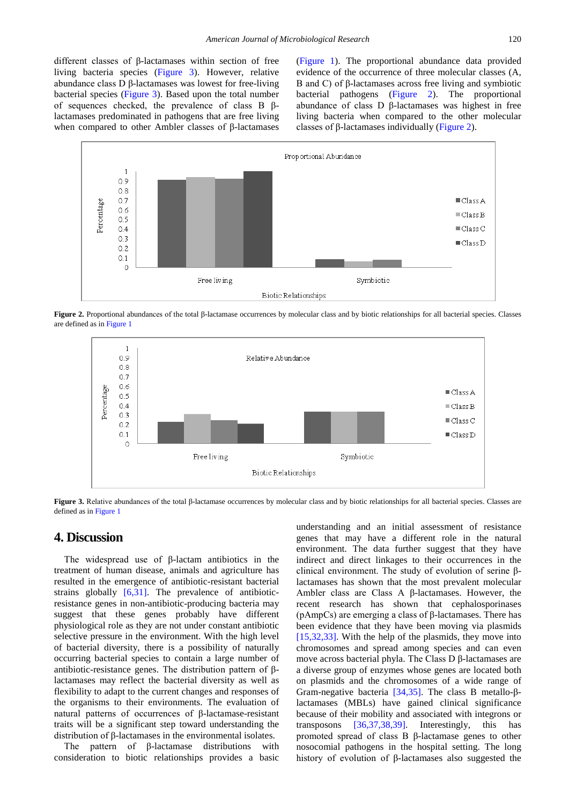different classes of β-lactamases within section of free living bacteria species [\(Figure 3\)](#page-2-0). However, relative abundance class D β-lactamases was lowest for free-living bacterial species [\(Figure 3\)](#page-2-0). Based upon the total number of sequences checked, the prevalence of class B βlactamases predominated in pathogens that are free living when compared to other Ambler classes of β-lactamases

[\(Figure 1\)](#page-1-0). The proportional abundance data provided evidence of the occurrence of three molecular classes (A, B and C) of β-lactamases across free living and symbiotic bacterial pathogens [\(Figure 2\)](#page-2-1). The proportional abundance of class D β-lactamases was highest in free living bacteria when compared to the other molecular classes of β-lactamases individually [\(Figure 2\)](#page-2-1).

<span id="page-2-1"></span>

<span id="page-2-0"></span>**Figure 2.** Proportional abundances of the total β-lactamase occurrences by molecular class and by biotic relationships for all bacterial species. Classes are defined as i[n Figure 1](#page-1-0)



**Figure 3.** Relative abundances of the total β-lactamase occurrences by molecular class and by biotic relationships for all bacterial species. Classes are defined as i[n Figure 1](#page-1-0)

## **4. Discussion**

The widespread use of β-lactam antibiotics in the treatment of human disease, animals and agriculture has resulted in the emergence of antibiotic-resistant bacterial strains globally [\[6,31\].](#page-3-13) The prevalence of antibioticresistance genes in non-antibiotic-producing bacteria may suggest that these genes probably have different physiological role as they are not under constant antibiotic selective pressure in the environment. With the high level of bacterial diversity, there is a possibility of naturally occurring bacterial species to contain a large number of antibiotic-resistance genes. The distribution pattern of βlactamases may reflect the bacterial diversity as well as flexibility to adapt to the current changes and responses of the organisms to their environments. The evaluation of natural patterns of occurrences of β-lactamase-resistant traits will be a significant step toward understanding the distribution of β-lactamases in the environmental isolates.

The pattern of β-lactamase distributions with consideration to biotic relationships provides a basic understanding and an initial assessment of resistance genes that may have a different role in the natural environment. The data further suggest that they have indirect and direct linkages to their occurrences in the clinical environment. The study of evolution of serine βlactamases has shown that the most prevalent molecular Ambler class are Class A β-lactamases. However, the recent research has shown that cephalosporinases (pAmpCs) are emerging a class of β-lactamases. There has been evidence that they have been moving via plasmids [\[15,32,33\].](#page-3-14) With the help of the plasmids, they move into chromosomes and spread among species and can even move across bacterial phyla. The Class D β-lactamases are a diverse group of enzymes whose genes are located both on plasmids and the chromosomes of a wide range of Gram-negative bacteria [\[34,35\].](#page-3-15) The class B metallo-βlactamases (MBLs) have gained clinical significance because of their mobility and associated with integrons or transposons [\[36,37,38,39\].](#page-3-16) Interestingly, this has promoted spread of class B β-lactamase genes to other nosocomial pathogens in the hospital setting. The long history of evolution of β-lactamases also suggested the